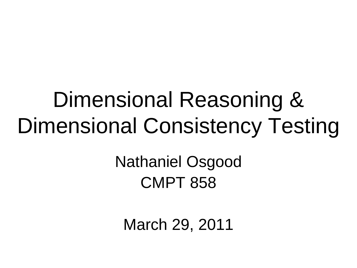#### Dimensional Reasoning & Dimensional Consistency Testing

Nathaniel Osgood CMPT 858

March 29, 2011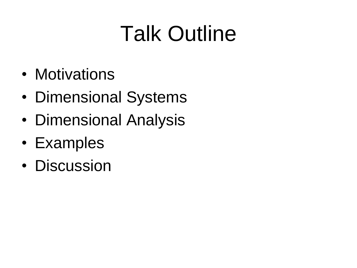# Talk Outline

- Motivations
- Dimensional Systems
- Dimensional Analysis
- Examples
- Discussion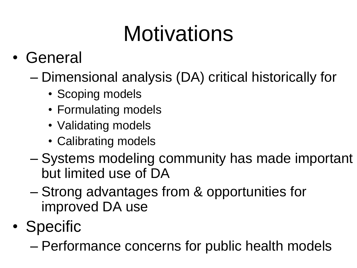# **Motivations**

- General
	- Dimensional analysis (DA) critical historically for
		- Scoping models
		- Formulating models
		- Validating models
		- Calibrating models
	- Systems modeling community has made important but limited use of DA
	- Strong advantages from & opportunities for improved DA use
- Specific
	- Performance concerns for public health models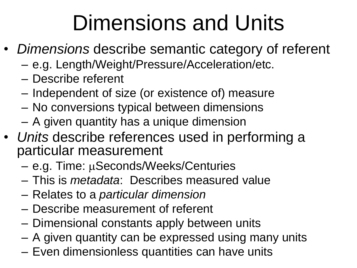### Dimensions and Units

- *Dimensions* describe semantic category of referent
	- e.g. Length/Weight/Pressure/Acceleration/etc.
	- Describe referent
	- Independent of size (or existence of) measure
	- No conversions typical between dimensions
	- A given quantity has a unique dimension
- *Units* describe references used in performing a particular measurement
	- $-$  e.g. Time:  $\mu$ Seconds/Weeks/Centuries
	- This is *metadata*: Describes measured value
	- Relates to a *particular dimension*
	- Describe measurement of referent
	- Dimensional constants apply between units
	- A given quantity can be expressed using many units
	- Even dimensionless quantities can have units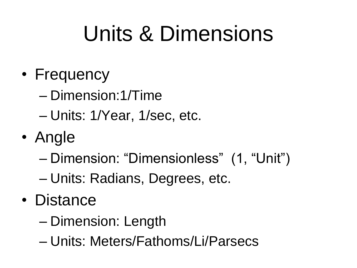# Units & Dimensions

- Frequency
	- Dimension:1/Time
	- Units: 1/Year, 1/sec, etc.
- Angle
	- Dimension: "Dimensionless" (1, "Unit")
	- Units: Radians, Degrees, etc.
- Distance
	- Dimension: Length
	- Units: Meters/Fathoms/Li/Parsecs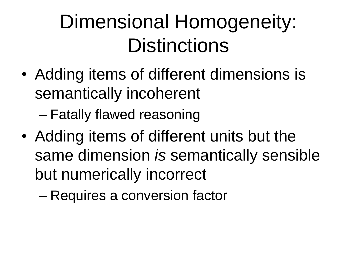#### Dimensional Homogeneity: **Distinctions**

• Adding items of different dimensions is semantically incoherent

– Fatally flawed reasoning

• Adding items of different units but the same dimension *is* semantically sensible but numerically incorrect

– Requires a conversion factor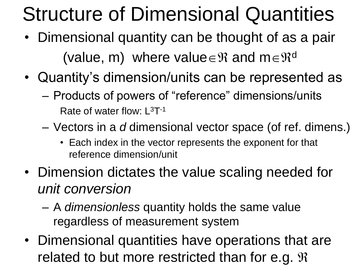#### Structure of Dimensional Quantities

- Dimensional quantity can be thought of as a pair (value, m) where value  $\in \mathfrak{R}$  and m $\in \mathfrak{R}^d$
- Quantity's dimension/units can be represented as
	- Products of powers of "reference" dimensions/units Rate of water flow:  $L^{3}T^{-1}$
	- Vectors in a *d* dimensional vector space (of ref. dimens.)
		- Each index in the vector represents the exponent for that reference dimension/unit
- Dimension dictates the value scaling needed for *unit conversion*
	- A *dimensionless* quantity holds the same value regardless of measurement system
- Dimensional quantities have operations that are related to but more restricted than for e.g.  $\mathfrak{R}$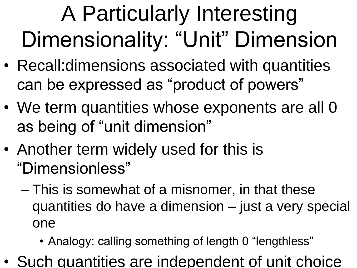# A Particularly Interesting Dimensionality: "Unit" Dimension

- Recall:dimensions associated with quantities can be expressed as "product of powers"
- We term quantities whose exponents are all 0 as being of "unit dimension"
- Another term widely used for this is "Dimensionless"
	- This is somewhat of a misnomer, in that these quantities do have a dimension – just a very special one
		- Analogy: calling something of length 0 "lengthless"
- Such quantities are independent of unit choice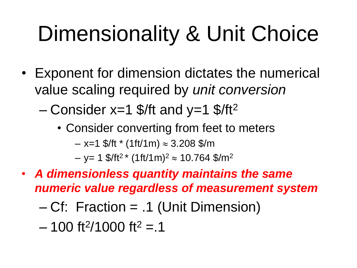# Dimensionality & Unit Choice

- Exponent for dimension dictates the numerical value scaling required by *unit conversion*
	- Consider  $x=1$  \$/ft and  $y=1$  \$/ft<sup>2</sup>
		- Consider converting from feet to meters  $-$  x=1 \$/ft  $*$  (1ft/1m)  $\approx$  3.208 \$/m  $-$  y= 1 \$/ft<sup>2 \*</sup> (1ft/1m)<sup>2</sup>  $\approx$  10.764 \$/m<sup>2</sup>
- *A dimensionless quantity maintains the same numeric value regardless of measurement system*
	- Cf: Fraction = .1 (Unit Dimension)
	- $-$  100 ft<sup>2</sup>/1000 ft<sup>2</sup> = 1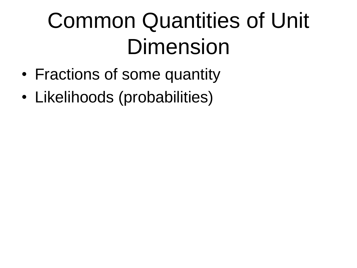# Common Quantities of Unit Dimension

- Fractions of some quantity
- Likelihoods (probabilities)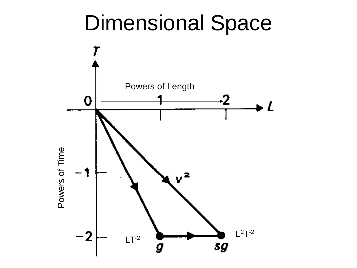#### Dimensional Space

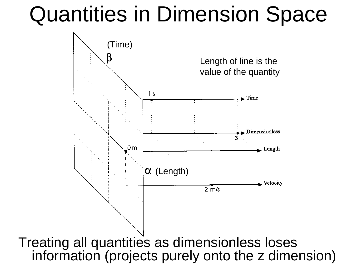#### Quantities in Dimension Space



Treating all quantities as dimensionless loses information (projects purely onto the z dimension)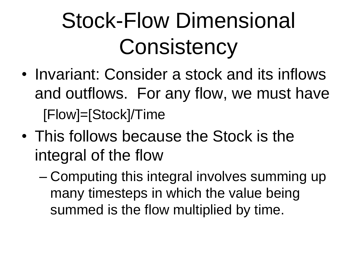# Stock-Flow Dimensional **Consistency**

- Invariant: Consider a stock and its inflows and outflows. For any flow, we must have [Flow]=[Stock]/Time
- This follows because the Stock is the integral of the flow
	- Computing this integral involves summing up many timesteps in which the value being summed is the flow multiplied by time.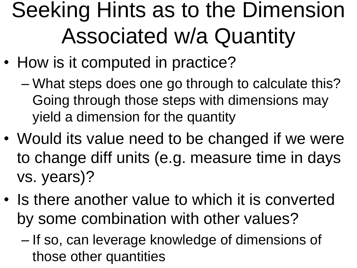## Seeking Hints as to the Dimension Associated w/a Quantity

- How is it computed in practice?
	- What steps does one go through to calculate this? Going through those steps with dimensions may yield a dimension for the quantity
- Would its value need to be changed if we were to change diff units (e.g. measure time in days vs. years)?
- Is there another value to which it is converted by some combination with other values?
	- If so, can leverage knowledge of dimensions of those other quantities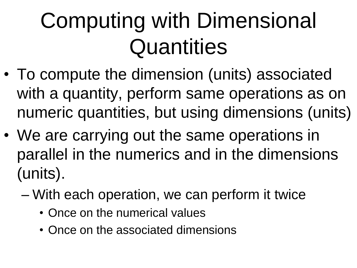# Computing with Dimensional **Quantities**

- To compute the dimension (units) associated with a quantity, perform same operations as on numeric quantities, but using dimensions (units)
- We are carrying out the same operations in parallel in the numerics and in the dimensions (units).
	- With each operation, we can perform it twice
		- Once on the numerical values
		- Once on the associated dimensions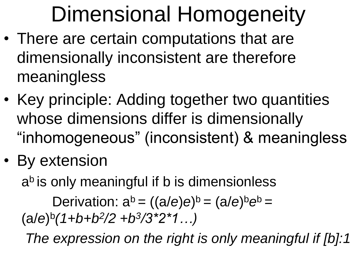## Dimensional Homogeneity

- There are certain computations that are dimensionally inconsistent are therefore meaningless
- Key principle: Adding together two quantities whose dimensions differ is dimensionally "inhomogeneous" (inconsistent) & meaningless
- By extension

a<sup>b</sup> is only meaningful if b is dimensionless

Derivation:  $a^b = ((a/e)e)^b = (a/e)^b e^b =$  $(a/e)^{b}(1+b+b^{2}/2+b^{3}/3^{*}2^{*}1...)$ 

*The expression on the right is only meaningful if [b]:1*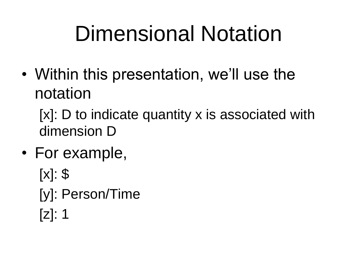## Dimensional Notation

• Within this presentation, we'll use the notation

[x]: D to indicate quantity x is associated with dimension D

- For example,
	- $[x]$ : \$
	- [y]: Person/Time
	- [z]: 1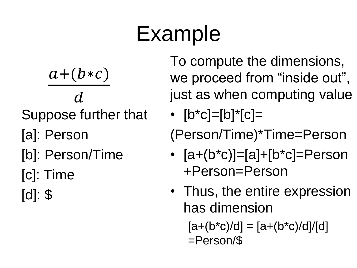#### Example

 $a+(b*c)$  $\boldsymbol{d}$ Suppose further that [a]: Person [b]: Person/Time

- [c]: Time
- [d]: \$

To compute the dimensions, we proceed from "inside out", just as when computing value

•  $[b * c] = [b] * [c] =$ 

(Person/Time)\*Time=Person

- $[a+(b*c)]=a]+[b*c]=Person$ +Person=Person
- Thus, the entire expression has dimension

 $[a+(b*c)/d] = [a+(b*c)/d]/[d]$ =Person/\$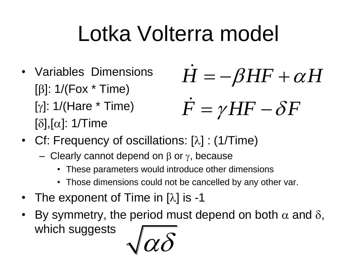# Lotka Volterra model

- Variables Dimensions [ $\beta$ ]: 1/(Fox  $*$  Time)  $[y]$ : 1/(Hare  $*$  Time)  $[\delta],[\alpha]$ : 1/Time  $H=-\beta H F+\alpha H$  $F = \gamma H F - \delta F$  $= \nu \boldsymbol{\Pi} \boldsymbol{\Gamma} =$
- Cf: Frequency of oscillations:  $[\lambda]$  : (1/Time)
	- Clearly cannot depend on  $\beta$  or  $\gamma$ , because
		- These parameters would introduce other dimensions
		- Those dimensions could not be cancelled by any other var.
- The exponent of Time in  $[\lambda]$  is -1
- By symmetry, the period must depend on both  $\alpha$  and  $\delta$ , which suggests

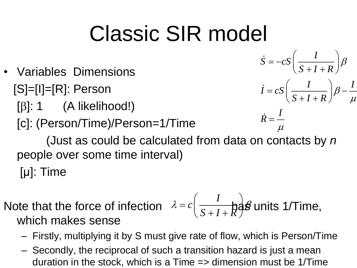#### Classic SIR model

- Variables Dimensions [S]=[I]=[R]: Person
	- $[\beta]$ : 1 (A likelihood!)
	- [c]: (Person/Time)/Person=1/Time

$$
\dot{S} = -cS \left( \frac{I}{S + I + R} \right) \beta
$$

$$
\dot{I} = cS \left( \frac{I}{S + I + R} \right) \beta - \frac{I}{\mu}
$$

$$
\dot{R} = \frac{I}{\mu}
$$

 $\mu$  and the set of  $\mu$ 

 (Just as could be calculated from data on contacts by *n* people over some time interval) [μ]: Time

Note that the force of infection 
$$
\lambda = c \left( \frac{I}{S+I+R} \right)
$$
g units 1/Time, which makes sense

- Firstly, multiplying it by S must give rate of flow, which is Person/Time
- Secondly, the reciprocal of such a transition hazard is just a mean duration in the stock, which is a Time => dimension must be 1/Time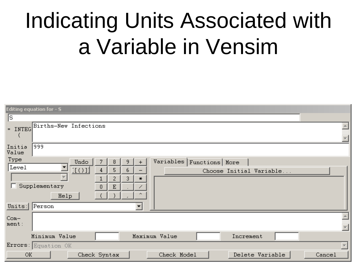## Indicating Units Associated with a Variable in Vensim

| <b>Editing equation for - S</b>                                                         |        |
|-----------------------------------------------------------------------------------------|--------|
| ls.                                                                                     |        |
| - INTEG Births-New Infections                                                           |        |
| 999<br>Initia<br>Value                                                                  |        |
| Type<br>Variables   Functions   More<br>Undo<br>9<br>8<br>$\ddot{}$                     |        |
| Level<br>[1()]<br>5<br>6<br>4<br>Choose Initial Variable                                |        |
| 3<br>2<br>$\ast$<br>Supplementary<br>E<br>$\theta$<br>$\boldsymbol{\mathsf{A}}$<br>Help |        |
| Units: Person                                                                           |        |
| $Com-$<br>ment:                                                                         |        |
| Minimum Value<br>Maximum Value<br>Increment                                             |        |
| Errors: Equation OK                                                                     |        |
| Check Model<br>Delete Variable<br><b>OK</b><br>Check Syntax                             | Cancel |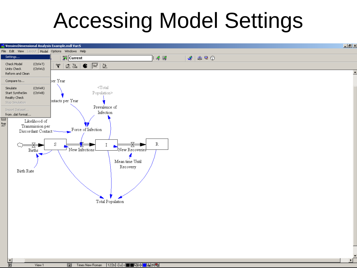#### Accessing Model Settings

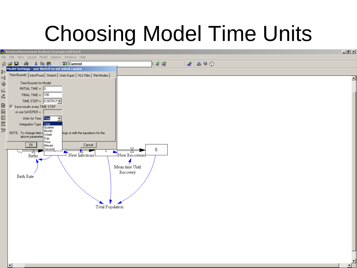## Choosing Model Time Units

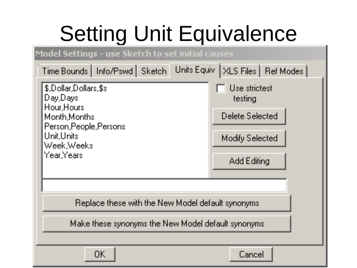# Setting Unit Equivalence

#### Model Settings - use Sketch to set initial causes

| Units Equiv   XLS Files   Ref Modes  <br>Time Bounds   Info/Pswd   Sketch                          |                          |  |
|----------------------------------------------------------------------------------------------------|--------------------------|--|
| \$,Dollar,Dollars,\$s<br>Day,Days                                                                  | Use strictest<br>testing |  |
| Hour, Hours<br>Month, Months<br>Person, People, Persons<br>Unit,Units<br>Week, Weeks<br>Year.Years | Delete Selected          |  |
|                                                                                                    | Modify Selected          |  |
|                                                                                                    | Add Editing              |  |
|                                                                                                    |                          |  |
| Replace these with the New Model default synonyms                                                  |                          |  |
| Make these synonyms the New Model default synonyms                                                 |                          |  |
|                                                                                                    |                          |  |
| <b>OK</b>                                                                                          | Cancel                   |  |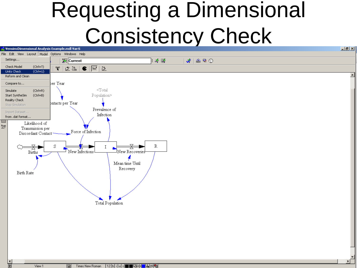#### Requesting a Dimensional Consistency Check

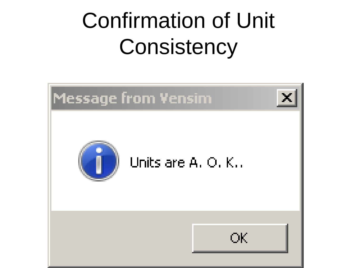# Confirmation of Unit **Consistency**

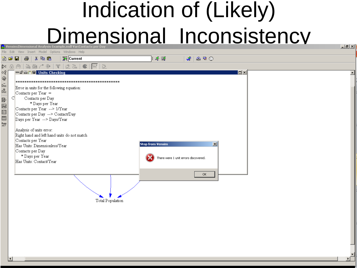#### Indication of (Likely) **Dimensional Inconsistency**

File Edit View Insert Model Options Windows Help **聚**Current 省房日  $\bigoplus$ 人名尼 主ぶ 露  $x \cdot x = 0$  $\propto^0_{\rm E}$ 一面普遍 B Units Checking  $|n| \times$  $\overline{\mathbb{Q}}$ <br> $\overline{\mathbb{Q}}$ Error in units for the following equation:  $\vec{\tilde{\beta}_{\rm OC}}$ Contacts per Year  $=$ B Contacts per Day  $\Xi$   $\boxtimes$   $\Xi$ \* Days per Year Contacts per Year --> 1/Year Contacts per Day --> Contact/Day 画 Days per Year --> Days/Year  $\frac{\text{Rung}}{\triangle 2}$ Analysis of units error: Right hand and left hand units do not match Contacts per Year **Stop from Vensim**  $\vert x \vert$ Has Units: Dimensionless/Year Contacts per Day \* Days per Year There were 1 unit errors discovered. Has Units: Contact/Year **OK** Total Population

 $-|E| \times |$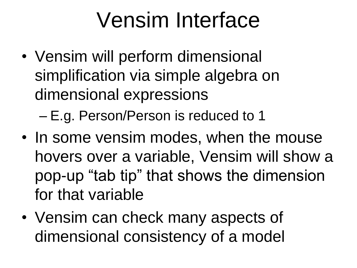#### Vensim Interface

• Vensim will perform dimensional simplification via simple algebra on dimensional expressions

– E.g. Person/Person is reduced to 1

- In some vensim modes, when the mouse hovers over a variable, Vensim will show a pop-up "tab tip" that shows the dimension for that variable
- Vensim can check many aspects of dimensional consistency of a model